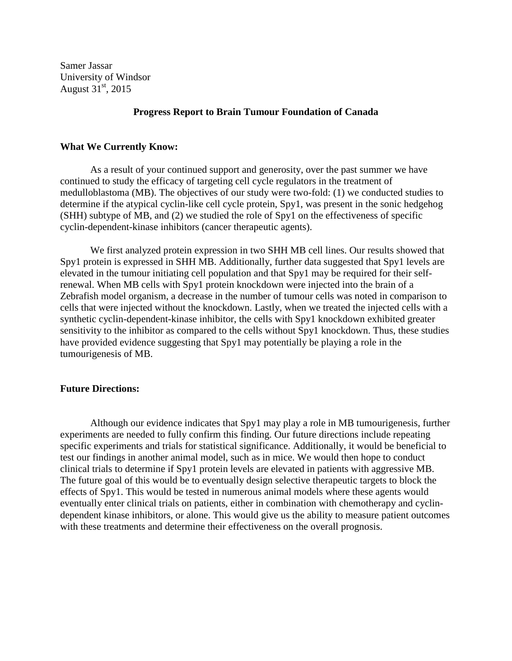Samer Jassar University of Windsor August  $31<sup>st</sup>$ , 2015

## **Progress Report to Brain Tumour Foundation of Canada**

## **What We Currently Know:**

As a result of your continued support and generosity, over the past summer we have continued to study the efficacy of targeting cell cycle regulators in the treatment of medulloblastoma (MB). The objectives of our study were two-fold: (1) we conducted studies to determine if the atypical cyclin-like cell cycle protein, Spy1, was present in the sonic hedgehog (SHH) subtype of MB, and (2) we studied the role of Spy1 on the effectiveness of specific cyclin-dependent-kinase inhibitors (cancer therapeutic agents).

We first analyzed protein expression in two SHH MB cell lines. Our results showed that Spy1 protein is expressed in SHH MB. Additionally, further data suggested that Spy1 levels are elevated in the tumour initiating cell population and that Spy1 may be required for their selfrenewal. When MB cells with Spy1 protein knockdown were injected into the brain of a Zebrafish model organism, a decrease in the number of tumour cells was noted in comparison to cells that were injected without the knockdown. Lastly, when we treated the injected cells with a synthetic cyclin-dependent-kinase inhibitor, the cells with Spy1 knockdown exhibited greater sensitivity to the inhibitor as compared to the cells without Spy1 knockdown. Thus, these studies have provided evidence suggesting that Spy1 may potentially be playing a role in the tumourigenesis of MB.

## **Future Directions:**

Although our evidence indicates that Spy1 may play a role in MB tumourigenesis, further experiments are needed to fully confirm this finding. Our future directions include repeating specific experiments and trials for statistical significance. Additionally, it would be beneficial to test our findings in another animal model, such as in mice. We would then hope to conduct clinical trials to determine if Spy1 protein levels are elevated in patients with aggressive MB. The future goal of this would be to eventually design selective therapeutic targets to block the effects of Spy1. This would be tested in numerous animal models where these agents would eventually enter clinical trials on patients, either in combination with chemotherapy and cyclindependent kinase inhibitors, or alone. This would give us the ability to measure patient outcomes with these treatments and determine their effectiveness on the overall prognosis.